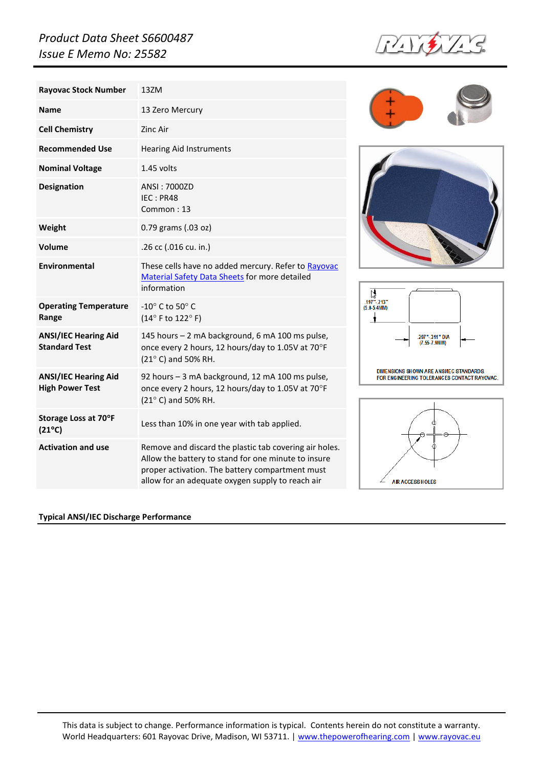## *Product Data Sheet S6600487 Issue E Memo No: 25582*

**Name** 13 Zero Mercury

**Recommended Use** Hearing Aid Instruments

IEC : PR48 Common : 13

**Rayovac Stock Number** 13ZM

**Cell Chemistry Zinc Air** 

**Nominal Voltage** 1.45 volts

**Designation ANSI: 7000ZD** 

**Weight** 0.79 grams (.03 oz)









## **Typical ANSI/IEC Discharge Performance**

## **Volume** .26 cc (.016 cu. in.) **Environmental** These cells have no added mercury. Refer to [Rayovac](http://www.rayovac.com/customer/msds/Zn-Air.pdf)  [Material Safety Data Sheets](http://www.rayovac.com/customer/msds/Zn-Air.pdf) for more detailed information **Operating Temperature Range**  $-10^\circ$  C to 50 $^\circ$  C  $(14^{\circ}$  F to  $122^{\circ}$  F) **ANSI/IEC Hearing Aid Standard Test** 145 hours – 2 mA background, 6 mA 100 ms pulse, once every 2 hours, 12 hours/day to 1.05V at  $70^{\circ}$ F  $(21^{\circ}$  C) and 50% RH. **ANSI/IEC Hearing Aid High Power Test** 92 hours – 3 mA background, 12 mA 100 ms pulse, once every 2 hours, 12 hours/day to 1.05V at 70°F  $(21^{\circ}$  C) and 50% RH. **Storage Loss at 70F (21<sup>°</sup>C)** Less than 10% in one year with tab applied. **Activation and use Remove and discard the plastic tab covering air holes.** Allow the battery to stand for one minute to insure proper activation. The battery compartment must

allow for an adequate oxygen supply to reach air

This data is subject to change. Performance information is typical. Contents herein do not constitute a warranty. World Headquarters: 601 Rayovac Drive, Madison, WI 53711. [| www.thepowerofhearing.com](http://www.thepowerofhearing.com/) [| www.rayovac.eu](http://www.rayovac.eu/)